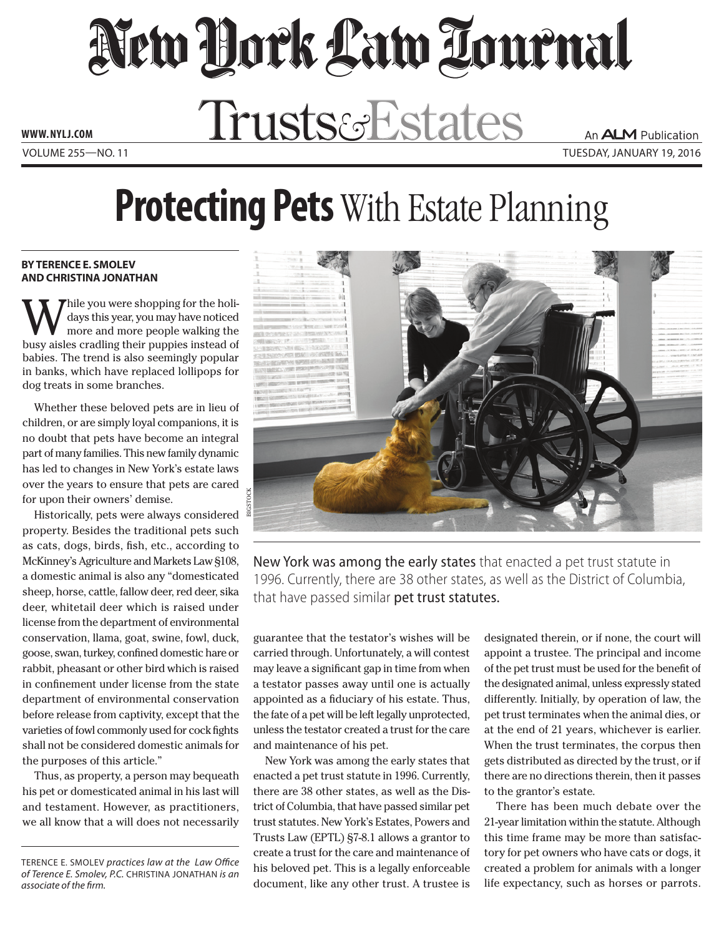## New York Law Tournal WW.NYLJ.COM Trusts&Estates An **ALM** Publication Volume 255—NO. 11 tuesday, january 19, 2016

**Protecting Pets** With Estate Planning

## **By Terence E. Smolev and Christina Jonathan**

hile you were shopping for the holidays this year, you may have noticed more and more people walking the busy aisles cradling their puppies instead of babies. The trend is also seemingly popular in banks, which have replaced lollipops for dog treats in some branches.

Whether these beloved pets are in lieu of children, or are simply loyal companions, it is no doubt that pets have become an integral part of many families. This new family dynamic has led to changes in New York's estate laws over the years to ensure that pets are cared for upon their owners' demise.

Historically, pets were always considered property. Besides the traditional pets such as cats, dogs, birds, fish, etc., according to McKinney's Agriculture and Markets Law §108, a domestic animal is also any "domesticated sheep, horse, cattle, fallow deer, red deer, sika deer, whitetail deer which is raised under license from the department of environmental conservation, llama, goat, swine, fowl, duck, goose, swan, turkey, confined domestic hare or rabbit, pheasant or other bird which is raised in confinement under license from the state department of environmental conservation before release from captivity, except that the varieties of fowl commonly used for cock fights shall not be considered domestic animals for the purposes of this article."

Thus, as property, a person may bequeath his pet or domesticated animal in his last will and testament. However, as practitioners, we all know that a will does not necessarily



New York was among the early states that enacted a pet trust statute in 1996. Currently, there are 38 other states, as well as the District of Columbia, that have passed similar pet trust statutes.

guarantee that the testator's wishes will be carried through. Unfortunately, a will contest may leave a significant gap in time from when a testator passes away until one is actually appointed as a fiduciary of his estate. Thus, the fate of a pet will be left legally unprotected, unless the testator created a trust for the care and maintenance of his pet.

New York was among the early states that enacted a pet trust statute in 1996. Currently, there are 38 other states, as well as the District of Columbia, that have passed similar pet trust statutes. New York's Estates, Powers and Trusts Law (EPTL) §7-8.1 allows a grantor to create a trust for the care and maintenance of his beloved pet. This is a legally enforceable document, like any other trust. A trustee is

designated therein, or if none, the court will appoint a trustee. The principal and income of the pet trust must be used for the benefit of the designated animal, unless expressly stated differently. Initially, by operation of law, the pet trust terminates when the animal dies, or at the end of 21 years, whichever is earlier. When the trust terminates, the corpus then gets distributed as directed by the trust, or if there are no directions therein, then it passes to the grantor's estate.

There has been much debate over the 21-year limitation within the statute. Although this time frame may be more than satisfactory for pet owners who have cats or dogs, it created a problem for animals with a longer life expectancy, such as horses or parrots.

Terence E. Smolev *practices law at the Law Office of Terence E. Smolev, P.C.* Christina Jonathan *is an associate of the firm.*